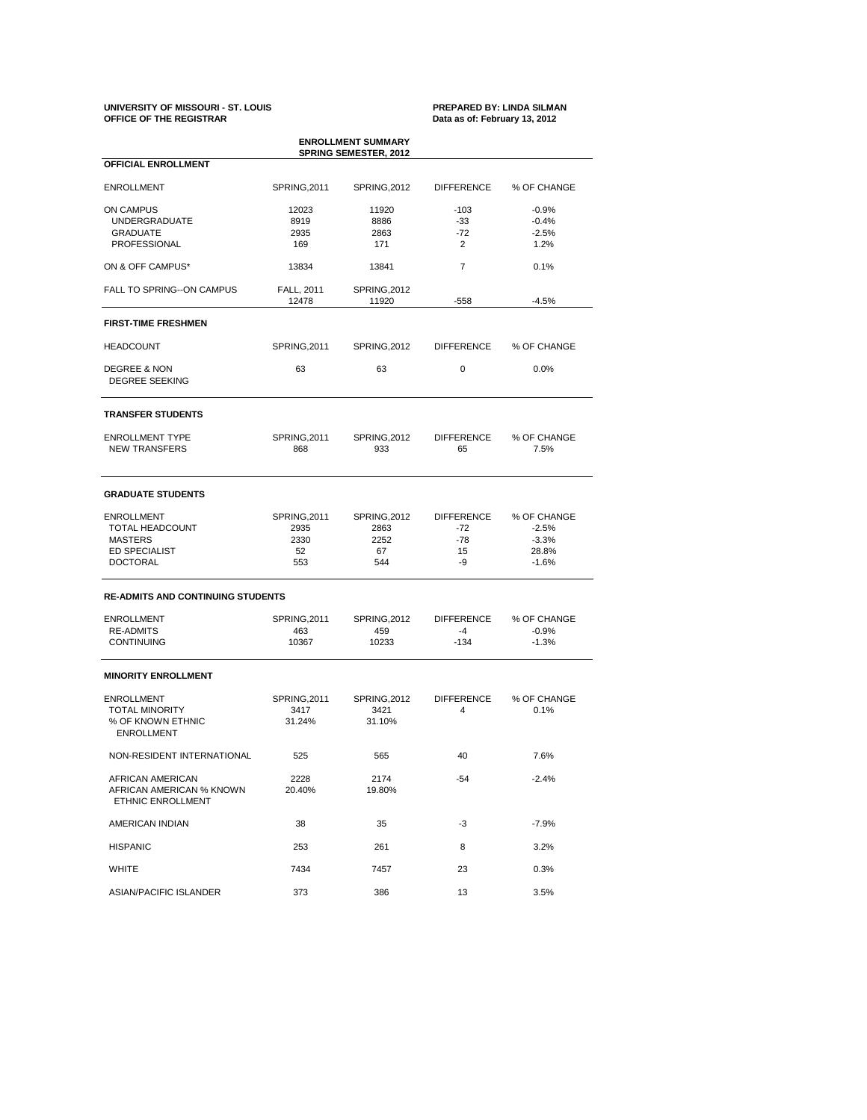### **UNIVERSITY OF MISSOURI - ST. LOUIS PREPARED BY: LINDA SILMAN OFFICE OF THE REGISTRAR Data as of: February 13, 2012**

| <b>ENROLLMENT SUMMARY</b><br><b>SPRING SEMESTER, 2012</b><br>OFFICIAL ENROLLMENT |                            |                       |                         |                     |  |  |  |  |
|----------------------------------------------------------------------------------|----------------------------|-----------------------|-------------------------|---------------------|--|--|--|--|
|                                                                                  |                            |                       |                         |                     |  |  |  |  |
| <b>ON CAMPUS</b>                                                                 | 12023                      | 11920                 | $-103$                  | $-0.9%$             |  |  |  |  |
| <b>UNDERGRADUATE</b>                                                             | 8919                       | 8886                  | -33                     | $-0.4%$             |  |  |  |  |
| <b>GRADUATE</b>                                                                  | 2935                       | 2863                  | $-72$                   | $-2.5%$             |  |  |  |  |
| PROFESSIONAL                                                                     | 169                        | 171                   | 2                       | 1.2%                |  |  |  |  |
| ON & OFF CAMPUS*                                                                 | 13834                      | 13841                 | 7                       | 0.1%                |  |  |  |  |
| FALL TO SPRING--ON CAMPUS                                                        | <b>FALL, 2011</b><br>12478 | SPRING, 2012<br>11920 | $-558$                  | $-4.5%$             |  |  |  |  |
| <b>FIRST-TIME FRESHMEN</b>                                                       |                            |                       |                         |                     |  |  |  |  |
| <b>HEADCOUNT</b>                                                                 | SPRING, 2011               | SPRING, 2012          | <b>DIFFERENCE</b>       | % OF CHANGE         |  |  |  |  |
| <b>DEGREE &amp; NON</b><br><b>DEGREE SEEKING</b>                                 | 63                         | 63                    | 0                       | 0.0%                |  |  |  |  |
| <b>TRANSFER STUDENTS</b>                                                         |                            |                       |                         |                     |  |  |  |  |
| <b>ENROLLMENT TYPE</b><br><b>NEW TRANSFERS</b>                                   | SPRING, 2011<br>868        | SPRING, 2012<br>933   | <b>DIFFERENCE</b><br>65 | % OF CHANGE<br>7.5% |  |  |  |  |
| <b>GRADUATE STUDENTS</b>                                                         |                            |                       |                         |                     |  |  |  |  |
| <b>ENROLLMENT</b>                                                                | SPRING, 2011               | SPRING, 2012          | <b>DIFFERENCE</b>       | % OF CHANGE         |  |  |  |  |
| TOTAL HEADCOUNT                                                                  | 2935                       | 2863                  | $-72$                   | $-2.5%$             |  |  |  |  |
| <b>MASTERS</b>                                                                   | 2330                       | 2252                  | $-78$                   | $-3.3%$             |  |  |  |  |
| ED SPECIALIST                                                                    | 52                         | 67                    | 15                      | 28.8%               |  |  |  |  |
| <b>DOCTORAL</b>                                                                  | 553                        | 544                   | -9                      | $-1.6%$             |  |  |  |  |
| <b>RE-ADMITS AND CONTINUING STUDENTS</b>                                         |                            |                       |                         |                     |  |  |  |  |
| <b>ENROLLMENT</b>                                                                | SPRING, 2011               | SPRING, 2012          | <b>DIFFERENCE</b>       | % OF CHANGE         |  |  |  |  |
| <b>RE-ADMITS</b>                                                                 | 463                        | 459                   | $-4$                    | $-0.9%$             |  |  |  |  |
| <b>CONTINUING</b>                                                                | 10367                      | 10233                 | $-134$                  | $-1.3%$             |  |  |  |  |
| <b>MINORITY ENROLLMENT</b>                                                       |                            |                       |                         |                     |  |  |  |  |
| <b>ENROLLMENT</b>                                                                | SPRING, 2011               | SPRING, 2012          | <b>DIFFERENCE</b>       | % OF CHANGE         |  |  |  |  |
| <b>TOTAL MINORITY</b>                                                            | 3417                       | 3421                  | 4                       | 0.1%                |  |  |  |  |
| % OF KNOWN ETHNIC<br><b>ENROLLMENT</b>                                           | 31.24%                     | 31.10%                |                         |                     |  |  |  |  |
| NON-RESIDENT INTERNATIONAL                                                       | 525                        | 565                   | 40                      | 7.6%                |  |  |  |  |
| AFRICAN AMERICAN                                                                 | 2228                       | 2174                  | -54                     | $-2.4%$             |  |  |  |  |
| AFRICAN AMERICAN % KNOWN<br>ETHNIC ENROLLMENT                                    | 20.40%                     | 19.80%                |                         |                     |  |  |  |  |
| AMERICAN INDIAN                                                                  | 38                         | 35                    | -3                      | $-7.9%$             |  |  |  |  |
| <b>HISPANIC</b>                                                                  | 253                        | 261                   | 8                       | 3.2%                |  |  |  |  |
| WHITE                                                                            | 7434                       | 7457                  | 23                      | 0.3%                |  |  |  |  |
| ASIAN/PACIFIC ISLANDER                                                           | 373                        | 386                   | 13                      | 3.5%                |  |  |  |  |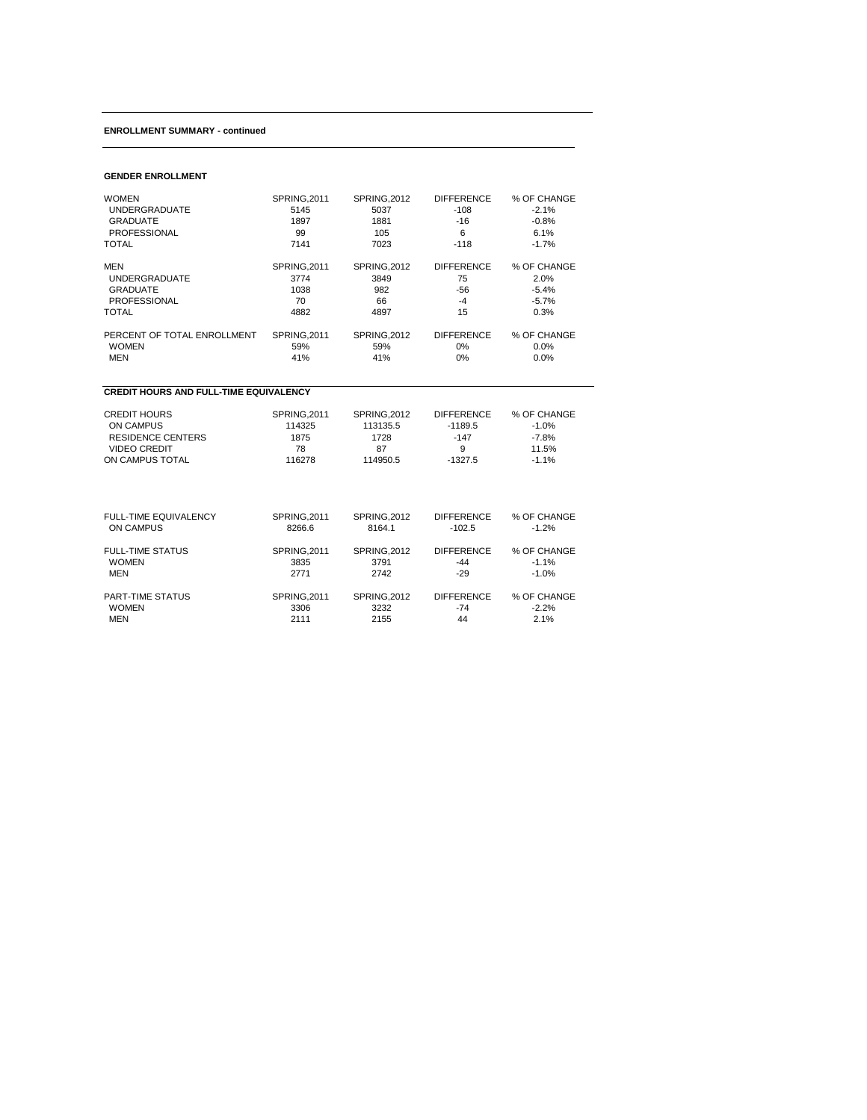## **ENROLLMENT SUMMARY - continued**

## **GENDER ENROLLMENT**

| <b>WOMEN</b>                                  | SPRING, 2011 | <b>SPRING, 2012</b> | <b>DIFFERENCE</b> | % OF CHANGE |  |  |  |  |
|-----------------------------------------------|--------------|---------------------|-------------------|-------------|--|--|--|--|
| <b>UNDERGRADUATE</b>                          | 5145         | 5037                | $-108$            | $-2.1%$     |  |  |  |  |
| <b>GRADUATE</b>                               | 1897         | 1881                | $-16$             | $-0.8%$     |  |  |  |  |
| <b>PROFESSIONAL</b>                           | 99           | 105                 | 6                 | 6.1%        |  |  |  |  |
| <b>TOTAL</b>                                  | 7141         | 7023                | $-118$            | $-1.7%$     |  |  |  |  |
| <b>MEN</b>                                    | SPRING, 2011 | <b>SPRING, 2012</b> | <b>DIFFERENCE</b> | % OF CHANGE |  |  |  |  |
| <b>UNDERGRADUATE</b>                          | 3774         | 3849                | 75                | 2.0%        |  |  |  |  |
| <b>GRADUATE</b>                               | 1038         | 982                 | $-56$             | $-5.4%$     |  |  |  |  |
| <b>PROFESSIONAL</b>                           | 70           | 66                  | $-4$              | $-5.7%$     |  |  |  |  |
| <b>TOTAL</b>                                  | 4882         | 4897                | 15                | 0.3%        |  |  |  |  |
| PERCENT OF TOTAL ENROLLMENT                   | SPRING, 2011 | <b>SPRING, 2012</b> | <b>DIFFERENCE</b> | % OF CHANGE |  |  |  |  |
| <b>WOMEN</b>                                  | 59%          | 59%                 | $0\%$             | 0.0%        |  |  |  |  |
| <b>MEN</b>                                    | 41%          | 41%                 | 0%                | 0.0%        |  |  |  |  |
| <b>CREDIT HOURS AND FULL-TIME EQUIVALENCY</b> |              |                     |                   |             |  |  |  |  |
| <b>CREDIT HOURS</b>                           | SPRING, 2011 | <b>SPRING, 2012</b> | <b>DIFFERENCE</b> | % OF CHANGE |  |  |  |  |
| ON CAMPUS                                     | 114325       | 113135.5            | $-1189.5$         | $-1.0%$     |  |  |  |  |
| <b>RESIDENCE CENTERS</b>                      | 1875         | 1728                | $-147$            | $-7.8%$     |  |  |  |  |
| <b>VIDEO CREDIT</b>                           | 78           | 87                  | 9                 | 11.5%       |  |  |  |  |
| ON CAMPUS TOTAL                               | 116278       | 114950.5            | $-1327.5$         | $-1.1%$     |  |  |  |  |
| FULL-TIME EQUIVALENCY                         | SPRING, 2011 | <b>SPRING, 2012</b> | <b>DIFFERENCE</b> | % OF CHANGE |  |  |  |  |
| <b>ON CAMPUS</b>                              | 8266.6       | 8164.1              | $-102.5$          | $-1.2%$     |  |  |  |  |
| <b>FULL-TIME STATUS</b>                       | SPRING, 2011 | <b>SPRING, 2012</b> | <b>DIFFERENCE</b> | % OF CHANGE |  |  |  |  |
| <b>WOMEN</b>                                  | 3835         | 3791                | $-44$             | $-1.1%$     |  |  |  |  |
| <b>MEN</b>                                    | 2771         | 2742                | $-29$             | $-1.0%$     |  |  |  |  |
| PART-TIME STATUS                              | SPRING, 2011 | <b>SPRING, 2012</b> | <b>DIFFERENCE</b> | % OF CHANGE |  |  |  |  |
| <b>WOMEN</b>                                  | 3306         | 3232                | $-74$             | $-2.2%$     |  |  |  |  |
| <b>MEN</b>                                    | 2111         | 2155                | 44                | 2.1%        |  |  |  |  |